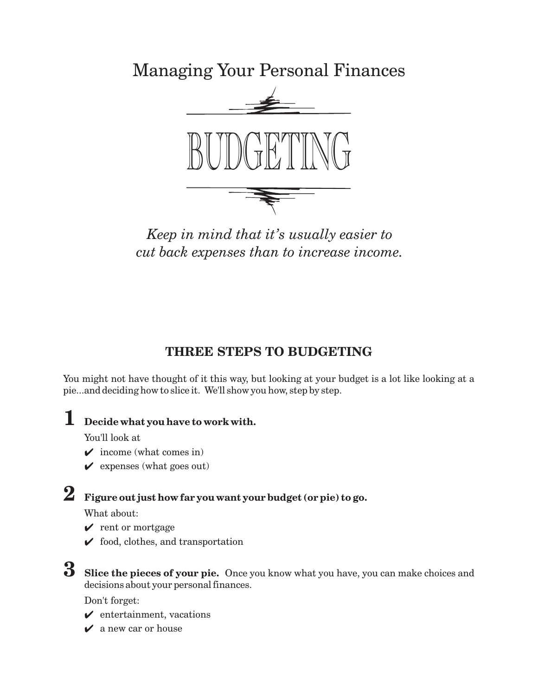Managing Your Personal Finances



*Keep in mind that it's usually easier to cut back expenses than to increase income.*

## **THREE STEPS TO BUDGETING**

You might not have thought of it this way, but looking at your budget is a lot like looking at a pie...and deciding how to slice it. We'll show you how, step by step.

# **1 Decide what you have to work with.**

You'll look at

- $\checkmark$  income (what comes in)
- $\mathbf y$  expenses (what goes out)

# **2 Figure out just how far you want your budget (or pie) to go.**

What about:

- $\sqrt{\phantom{a}}$  rent or mortgage
- $\checkmark$  food, clothes, and transportation

## **3**

**Slice the pieces of your pie.** Once you know what you have, you can make choices and decisions about your personal finances.

Don't forget:

- $\checkmark$  entertainment, vacations
- $\mathbf v$  a new car or house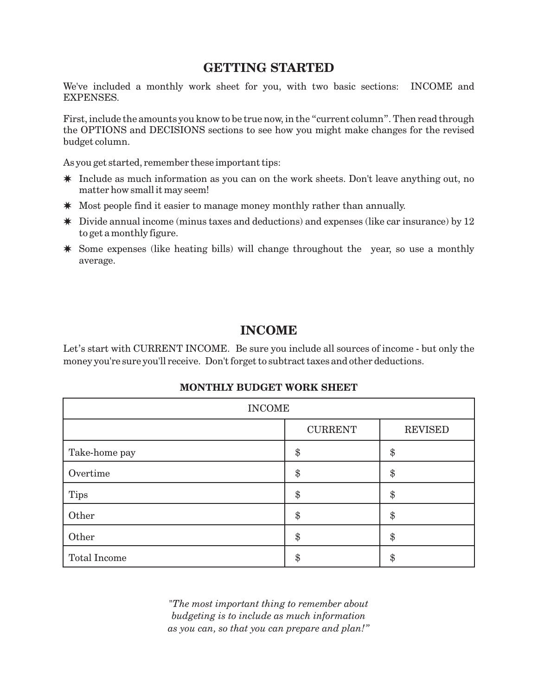#### **GETTING STARTED**

We've included a monthly work sheet for you, with two basic sections: INCOME and EXPENSES.

First, include the amounts you know to be true now, in the "current column". Then read through the OPTIONS and DECISIONS sections to see how you might make changes for the revised budget column.

As you get started, remember these important tips:

- \* Include as much information as you can on the work sheets. Don't leave anything out, no matter how small it may seem!
- \* Most people find it easier to manage money monthly rather than annually.
- \* Divide annual income (minus taxes and deductions) and expenses (like car insurance) by 12 to get a monthly figure.
- Some expenses (like heating bills) will change throughout the year, so use a monthly average.

#### **INCOME**

Let's start with CURRENT INCOME. Be sure you include all sources of income - but only the money you're sure you'll receive. Don't forget to subtract taxes and other deductions.

| <b>INCOME</b>       |                |                |  |  |  |
|---------------------|----------------|----------------|--|--|--|
|                     | <b>CURRENT</b> | <b>REVISED</b> |  |  |  |
| Take-home pay       | \$             | \$             |  |  |  |
| Overtime            | \$             | \$             |  |  |  |
| <b>Tips</b>         | \$             | \$             |  |  |  |
| Other               | \$             | \$             |  |  |  |
| Other               | \$             | \$             |  |  |  |
| <b>Total Income</b> | \$             | \$             |  |  |  |

#### **MONTHLY BUDGET WORK SHEET**

*"The most important thing to remember about budgeting is to include as much information as you can, so that you can prepare and plan!"*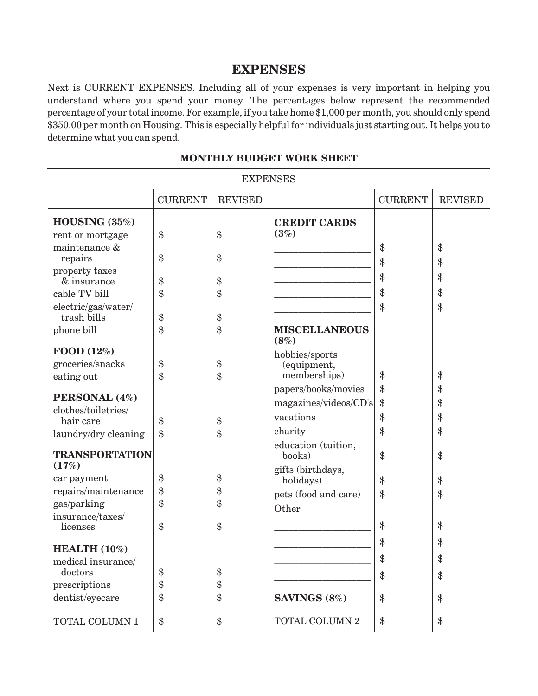### **EXPENSES**

Next is CURRENT EXPENSES. Including all of your expenses is very important in helping you understand where you spend your money. The percentages below represent the recommended percentage of your total income. For example, if you take home \$1,000 per month, you should only spend \$350.00 per month on Housing. This is especially helpful for individuals just starting out. It helps you to determine what you can spend.

| <b>EXPENSES</b>                      |                |                |                              |                |                |  |
|--------------------------------------|----------------|----------------|------------------------------|----------------|----------------|--|
|                                      | <b>CURRENT</b> | <b>REVISED</b> |                              | <b>CURRENT</b> | <b>REVISED</b> |  |
| HOUSING $(35\%)$                     |                |                | <b>CREDIT CARDS</b>          |                |                |  |
| rent or mortgage                     | \$             | \$             | (3%)                         |                |                |  |
| maintenance &                        |                |                |                              | \$             | \$             |  |
| repairs                              | \$             | \$             |                              | \$             | \$             |  |
| property taxes                       |                |                |                              | \$             | \$             |  |
| & insurance<br>cable TV bill         | \$             | \$             |                              | \$             | \$             |  |
|                                      | \$             | \$             |                              |                |                |  |
| electric/gas/water/<br>trash bills   | \$             | \$             |                              | \$             | \$             |  |
| phone bill                           | \$             | \$             | <b>MISCELLANEOUS</b><br>(8%) |                |                |  |
| FOOD (12%)                           |                |                | hobbies/sports               |                |                |  |
| groceries/snacks                     | \$             | \$             | (equipment,                  |                |                |  |
| eating out                           | \$             | \$             | memberships)                 | \$             | \$             |  |
|                                      |                |                | papers/books/movies          | \$             | \$             |  |
| PERSONAL (4%)<br>clothes/toiletries/ |                |                | magazines/videos/CD's        | \$             | \$             |  |
| hair care                            | \$             | \$             | vacations                    | \$             | \$             |  |
| laundry/dry cleaning                 | $\$\$          | \$             | charity                      | \$             | \$             |  |
|                                      |                |                | education (tuition,          |                |                |  |
| <b>TRANSPORTATION</b>                |                |                | books)                       | \$             | $\$\$          |  |
| (17%)                                |                |                | gifts (birthdays,            |                |                |  |
| car payment                          | \$             | \$             | holidays)                    | \$             | \$             |  |
| repairs/maintenance                  | \$             | \$             | pets (food and care)         | \$             | \$             |  |
| gas/parking                          | \$             | \$             | Other                        |                |                |  |
| insurance/taxes/<br>licenses         | \$             | $\$\$          |                              | \$             | $\$\$          |  |
|                                      |                |                |                              |                |                |  |
| <b>HEALTH</b> $(10\%)$               |                |                |                              | \$             | \$             |  |
| medical insurance/                   |                |                |                              | \$             | $\$\$          |  |
| doctors                              | \$             | \$             |                              | \$             | $\$\$          |  |
| prescriptions                        | \$             | \$             |                              |                |                |  |
| dentist/eyecare                      | \$             | \$             | SAVINGS (8%)                 | \$             | \$             |  |
| TOTAL COLUMN 1                       | \$             | \$             | TOTAL COLUMN 2               | \$             | $\$\$          |  |

#### **MONTHLY BUDGET WORK SHEET**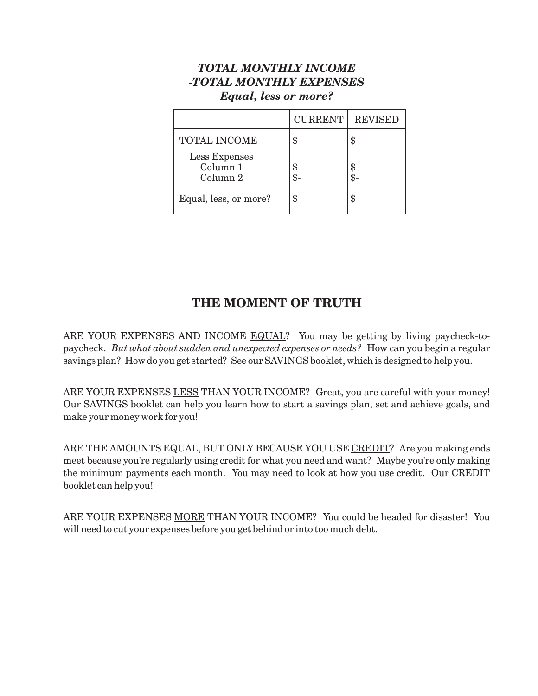#### *TOTAL MONTHLY INCOME -TOTAL MONTHLY EXPENSES Equal, less or more?*

|                                       | <b>CURRENT</b> | <b>REVISED</b> |
|---------------------------------------|----------------|----------------|
| <b>TOTAL INCOME</b>                   | \$             | \$             |
| Less Expenses<br>Column 1<br>Column 2 |                | \$.<br>\$.     |
| Equal, less, or more?                 | \$             | \$             |

## **THE MOMENT OF TRUTH**

ARE YOUR EXPENSES AND INCOME EQUAL? You may be getting by living paycheck-topaycheck. *But what about sudden and unexpected expenses or needs?* How can you begin a regular savings plan? How do you get started? See our SAVINGS booklet, which is designed to help you.

ARE YOUR EXPENSES <u>LESS</u> THAN YOUR INCOME? Great, you are careful with your money! Our SAVINGS booklet can help you learn how to start a savings plan, set and achieve goals, and make your money work for you!

ARE THE AMOUNTS EQUAL, BUT ONLY BECAUSE YOU USE <u>CREDIT</u>? Are you making ends meet because you're regularly using credit for what you need and want? Maybe you're only making the minimum payments each month. You may need to look at how you use credit. Our CREDIT booklet can help you!

ARE YOUR EXPENSES <u>MORE</u> THAN YOUR INCOME? You could be headed for disaster! You will need to cut your expenses before you get behind or into too much debt.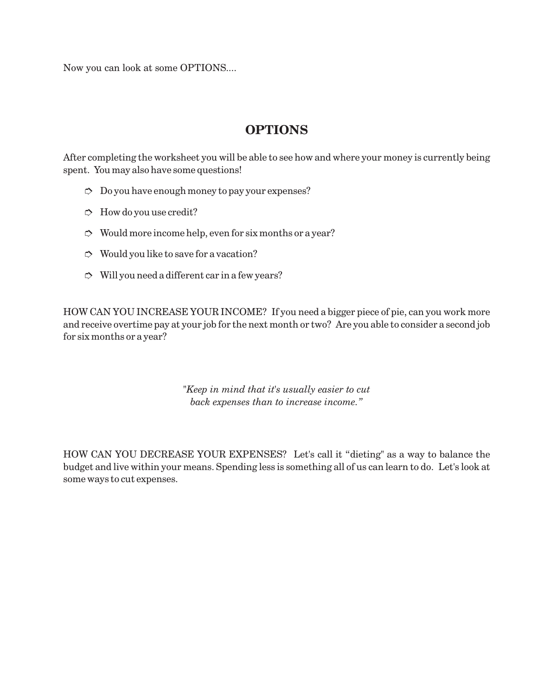Now you can look at some OPTIONS....

## **OPTIONS**

After completing the worksheet you will be able to see how and where your money is currently being spent. You may also have some questions!

- $\heartsuit$  Do you have enough money to pay your expenses?
- $\Rightarrow$  How do you use credit?
- $\heartsuit$  Would more income help, even for six months or a year?
- $\heartsuit$  Would you like to save for a vacation?
- $\heartsuit$  Will you need a different car in a few years?

HOW CAN YOU INCREASE YOUR INCOME? If you need a bigger piece of pie, can you work more and receive overtime pay at your job for the next month or two? Are you able to consider a second job for six months or a year?

> *"Keep in mind that it's usually easier to cut back expenses than to increase income."*

HOW CAN YOU DECREASE YOUR EXPENSES? Let's call it "dieting" as a way to balance the budget and live within your means. Spending less is something all of us can learn to do. Let's look at some ways to cut expenses.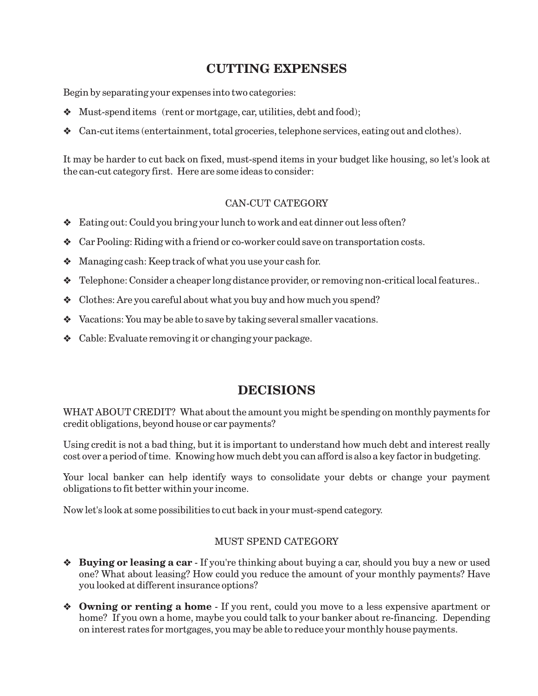## **CUTTING EXPENSES**

Begin by separating your expenses into two categories:

- Must-spend items (rent or mortgage, car, utilities, debt and food);
- Can-cut items (entertainment, total groceries, telephone services, eating out and clothes).

It may be harder to cut back on fixed, must-spend items in your budget like housing, so let's look at the can-cut category first. Here are some ideas to consider:

#### CAN-CUT CATEGORY

- Eating out: Could you bring your lunch to work and eat dinner out less often?
- Car Pooling: Riding with a friend or co-worker could save on transportation costs.
- Managing cash: Keep track of what you use your cash for.
- Telephone: Consider a cheaper long distance provider, or removing non-critical local features..
- Clothes: Are you careful about what you buy and how much you spend?
- Vacations: You may be able to save by taking several smaller vacations.
- Cable: Evaluate removing it or changing your package.

#### **DECISIONS**

WHAT ABOUT CREDIT? What about the amount you might be spending on monthly payments for credit obligations, beyond house or car payments?

Using credit is not a bad thing, but it is important to understand how much debt and interest really cost over a period of time. Knowing how much debt you can afford is also a key factor in budgeting.

Your local banker can help identify ways to consolidate your debts or change your payment obligations to fit better within your income.

Now let's look at some possibilities to cut back in your must-spend category.

#### MUST SPEND CATEGORY

- **\*** Buying or leasing a car If you're thinking about buying a car, should you buy a new or used one? What about leasing? How could you reduce the amount of your monthly payments? Have you looked at different insurance options?
- $\bullet$  **Owning or renting a home** If you rent, could you move to a less expensive apartment or home? If you own a home, maybe you could talk to your banker about re-financing. Depending on interest rates for mortgages, you may be able to reduce your monthly house payments.